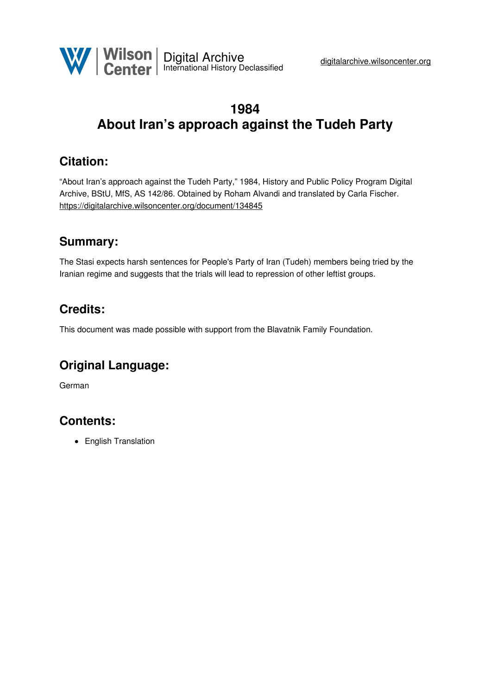

# **1984 About Iran's approach against the Tudeh Party**

## **Citation:**

"About Iran's approach against the Tudeh Party," 1984, History and Public Policy Program Digital Archive, BStU, MfS, AS 142/86. Obtained by Roham Alvandi and translated by Carla Fischer. <https://digitalarchive.wilsoncenter.org/document/134845>

## **Summary:**

The Stasi expects harsh sentences for People's Party of Iran (Tudeh) members being tried by the Iranian regime and suggests that the trials will lead to repression of other leftist groups.

## **Credits:**

This document was made possible with support from the Blavatnik Family Foundation.

## **Original Language:**

German

## **Contents:**

• English Translation